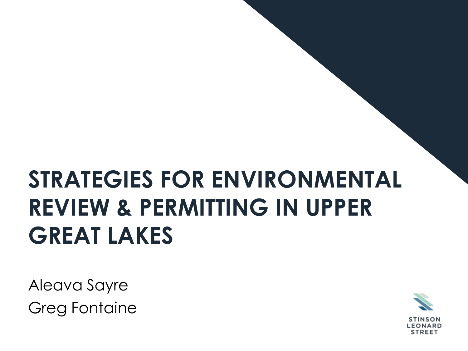# **STRATEGIES FOR ENVIRONMENTAL REVIEW & PERMITTING IN UPPER GREAT LAKES**

Aleava Sayre Greg Fontaine

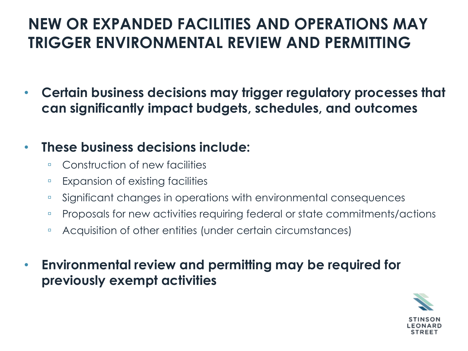### **NEW OR EXPANDED FACILITIES AND OPERATIONS MAY TRIGGER ENVIRONMENTAL REVIEW AND PERMITTING**

• **Certain business decisions may trigger regulatory processes that can significantly impact budgets, schedules, and outcomes**

#### • **These business decisions include:**

- Construction of new facilities
- Expansion of existing facilities
- Significant changes in operations with environmental consequences
- Proposals for new activities requiring federal or state commitments/actions
- □ Acquisition of other entities (under certain circumstances)
- **Environmental review and permitting may be required for previously exempt activities**

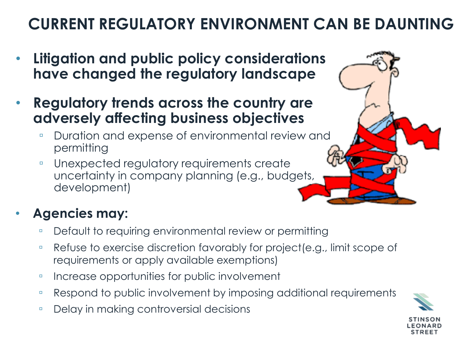# **CURRENT REGULATORY ENVIRONMENT CAN BE DAUNTING**

- **Litigation and public policy considerations have changed the regulatory landscape**
- **Regulatory trends across the country are adversely affecting business objectives**
	- □ Duration and expense of environmental review and permitting
	- Unexpected regulatory requirements create uncertainty in company planning (e.g., budgets, development)

#### • **Agencies may:**

- □ Default to requiring environmental review or permitting
- Refuse to exercise discretion favorably for project(e.g., limit scope of requirements or apply available exemptions)
- Increase opportunities for public involvement
- Respond to public involvement by imposing additional requirements
- □ Delay in making controversial decisions

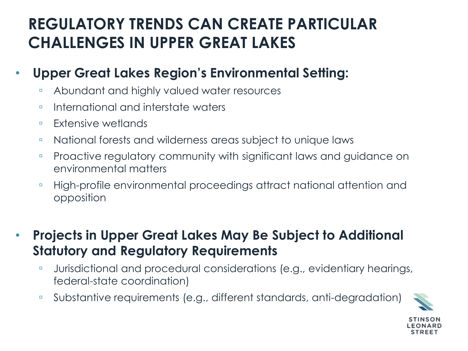### **REGULATORY TRENDS CAN CREATE PARTICULAR CHALLENGES IN UPPER GREAT LAKES**

#### • **Upper Great Lakes Region's Environmental Setting:**

- Abundant and highly valued water resources
- □ International and interstate waters
- Extensive wetlands
- National forests and wilderness areas subject to unique laws
- Proactive regulatory community with significant laws and guidance on environmental matters
- High-profile environmental proceedings attract national attention and opposition
- **Projects in Upper Great Lakes May Be Subject to Additional Statutory and Regulatory Requirements**
	- □ Jurisdictional and procedural considerations (e.g., evidentiary hearings, federal-state coordination)
	- Substantive requirements (e.g., different standards, anti-degradation)

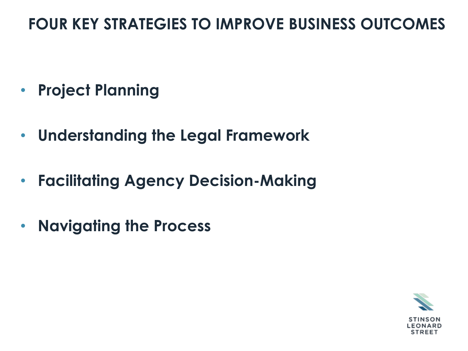#### **FOUR KEY STRATEGIES TO IMPROVE BUSINESS OUTCOMES**

- **Project Planning**
- **Understanding the Legal Framework**
- **Facilitating Agency Decision-Making**
- **Navigating the Process**

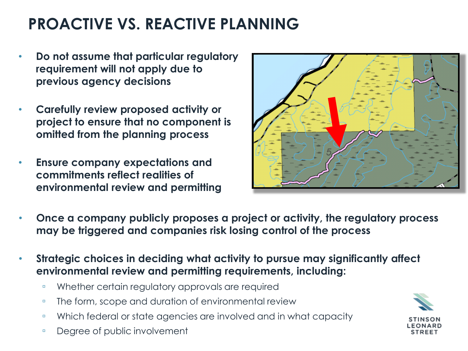### **PROACTIVE VS. REACTIVE PLANNING**

- **Do not assume that particular regulatory requirement will not apply due to previous agency decisions**
- **Carefully review proposed activity or project to ensure that no component is omitted from the planning process**
- **Ensure company expectations and commitments reflect realities of environmental review and permitting**



- **Once a company publicly proposes a project or activity, the regulatory process may be triggered and companies risk losing control of the process**
- **Strategic choices in deciding what activity to pursue may significantly affect environmental review and permitting requirements, including:**
	- Whether certain regulatory approvals are required
	- □ The form, scope and duration of environmental review
	- Which federal or state agencies are involved and in what capacity
	- Degree of public involvement

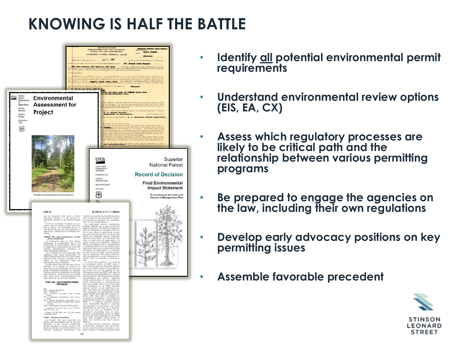### **KNOWING IS HALF THE BATTLE**



- **Identify all potential environmental permit requirements**
- **Understand environmental review options (EIS, EA, CX)**
- **Assess which regulatory processes are likely to be critical path and the relationship between various permitting programs**
- **Be prepared to engage the agencies on the law, including their own regulations**
- **Develop early advocacy positions on key permitting issues**
- **Assemble favorable precedent**

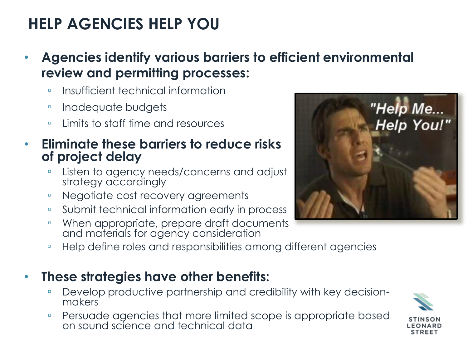# **HELP AGENCIES HELP YOU**

- **Agencies identify various barriers to efficient environmental review and permitting processes:**
	- Insufficient technical information
	- Inadequate budgets
	- Limits to staff time and resources
- **Eliminate these barriers to reduce risks of project delay**
	- Listen to agency needs/concerns and adjust strategy accordingly
	- Negotiate cost recovery agreements
	- Submit technical information early in process
	- ■When appropriate, prepare draft documents and materials for agency consideration
	- Help define roles and responsibilities among different agencies
- **These strategies have other benefits:**
	- □ Develop productive partnership and credibility with key decisionmakers
	- Persuade agencies that more limited scope is appropriate based on sound science and technical data



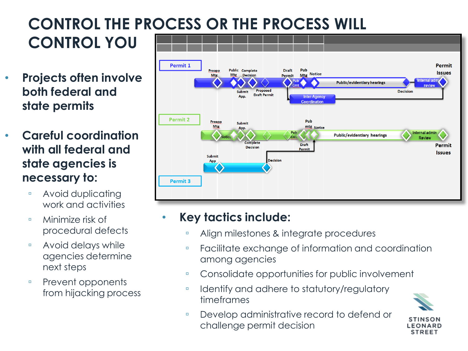#### **CONTROL THE PROCESS OR THE PROCESS WILL CONTROL YOU**

- **Projects often involve both federal and state permits**
- **Careful coordination with all federal and state agencies is necessary to:**
	- Avoid duplicating work and activities
	- Minimize risk of procedural defects
	- Avoid delays while agencies determine next steps
	- □ Prevent opponents from hijacking process



#### • **Key tactics include:**

- Align milestones & integrate procedures
- Facilitate exchange of information and coordination among agencies
- Consolidate opportunities for public involvement
- □ Identify and adhere to statutory/regulatory timeframes
- Develop administrative record to defend or challenge permit decision